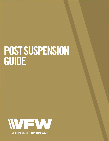# **POST SUSPENSION GUIDE**

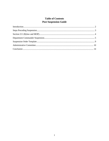# **Table of Contents Post Suspension Guide**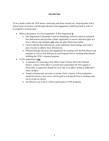#### **Introduction**

*To be a leader within the VFW means connecting with those around you; inspiring them with a shared sense of mission; and through education and engagement, mobilizing them in order to accomplish a common goal.* 

- What is the purpose of a Post suspension? A Post suspension **is**
	- o The Department Commander's tool for mandating corrective action to sustained Post deficiencies and provides a better opportunity to narrow education gaps of a Post's officers and members *only* when all other efforts have failed.
	- o Used to identify Post deficiencies, assess additional shortcomings, and create a plan of action to address those deficiencies.
	- o Effected through education and engagement by working with the Post officers and members to correct Post deficiencies and bring the Post to working order thereby fulfilling the VFW's chartered purpose.
- A Post suspension is **not**
	- o A substitute for removing a Post officer under Section 220 of the National Bylaws. *Unless a Post officer's actions have jeopardized the Post legally or financially, a suspension should not occur due to an officer failing to fulfill their duties of office.*
	- o Simply a bureaucratic necessity to revoke a Post's charter. *A Post suspension should be used as a last resort, and the goal is to bring the Post to working order not to revoke its charter.*
	- o An effective way to force a Post to participate in VFW programs.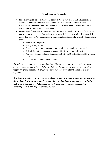#### **Steps Preceding Suspension**

- How did we get here what happens before a Post is suspended? A Post suspension should not be the consequence of a single Post officer's shortcomings, rather a suspension is the Department Commander's last recourse when previous attempts to correct a Post's shortcomings have failed.
- Departments should look for opportunities to strengthen weak Posts as it is far easier to take the time to educate a Post on how to correct a deficiency when it's first identified, rather than place a Post on suspension. Common places to identify where Posts are falling short:
	- o Annual Post inspection
	- o Post quarterly audits
	- o Department required reports (veterans service, community service, etc.)
	- o Role of District Commander as a conduit for information to Department
	- o Post Inspection as authorized pursuant to Section 710 of the National Bylaws and MOP
	- o Member and community complaints

*"Identify, instruct, and educate struggling Posts. Show a concern for their problems, assign a junior or respected past officer to help with their membership drives and program initiatives, suggest programs and methods of carrying them out, encourage other Posts to help their neighbors.*

*Identifying struggling Posts and knowing where each one struggles is important because they will need much of your attention. Personalized instruction that gives guidance on a Post's weak areas is imperative to helping correct its deficiencies." – District Commander: Leadership, Duties and Responsibilities (vfw.org)*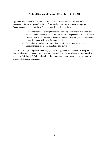#### **National Bylaws and Manual of Procedure - Section 211**

Approved amendments to Section 211 of the Manual of Procedure – "Suspension and Revocation of Charter" passed at the 118<sup>th</sup> National Convention are meant to improve Department engagement during a Post's suspension in three major ways.

- 1. Mandating increased oversight through a working Administrative Committee.
- 2. Spurring member reengagement through required suspension notification sent to all Post members with the next scheduled meeting time and place, and attached suspension order with listed Post deficiencies.
- 3. Expanding Administrative Committee reporting requirements to ensure Department actions are informed and data driven.

In addition to improving Department engagement, the approved amendments also expand the Commander-in-Chief's authority to promptly revoke a Post charter where members have lost interest in fulfilling VFW obligations by failing to muster a quorum at meetings or elect Post officers while under suspension.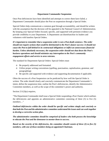#### **Department Commander Suspension**

Once Post deficiencies have been identified and attempts to correct them have failed, a Department Commander should place the Post on suspension through a Special Order.

Special Orders help communicate a common goal through accountability, and should be written with the assumption that the decision will be appealed to the National Council of Administration. By keeping your Special Orders focused, specific, and supported with pertinent evidence you provide credibility to your Department. A Department can disenfranchise its leaders and volunteers with baseless Special Orders.

*It's important to remember that a suspension order is not a Post death sentence. The order should not require actions that would be detrimental to the Post's future success: it should not cause the Post to fall behind in its contractual obligations or inflict an unnecessary financial burden. Unless absolutely necessary, the suspension order should not shut down the Post's business operations and should minimize any interruption to the Post's community engagement efforts and service to area veterans.* 

The standard for Department Special Orders: Special Orders must

- o Be properly addressed and formatted.
- o Utilize proper writing conventions (spelling, punctuation, capitalization, grammar, and paragraphing)
- o Be specific and supported with evidence and supporting documentation if applicable.

Often the success of a Post Suspension can be predicted by how well the Special Order is written. The order should clearly and concisely communicate the Department Commander's intent, define the suspension time, outline the Post's deficiencies, identify the Administrative Committee members, as well as the scope of the committee's power and authority.

Section 211(3)(a) requires,

"The Department Commander shall issue a Special Order suspending a Post Charter which outlines the deficiencies and appoints an administrative committee consisting of three (3) to five (5) members…"

*Outlined deficiencies within the order should be specific and written simply and concisely so that both the Post and the administrative committee understand the issues and can work together to develop a corrective action plan.* 

*The administrative committee should be comprised of leaders who both possess the knowledge to educate the Post and the demeanor to mentor them to success.* 

*Based on the severity of the deficiencies, the committee should consist of three (3) to five (5) members, with one of those members being an appointed Chairman.*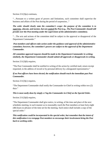Section 211(3)(a) continues,

"…Pursuant to a written grant of powers and limitations, such committee shall supervise the business and affairs of the Post during the period of suspension..."

*The order should clearly state the committee's scope: the purpose of the committee is to supervise, educate, and mentor, but not control the Post (e.g., The Post Commander should still preside over the Post meeting under the supervision of the administrative committee).*

"…The acts and actions of the committee shall be subject to the approval or disapproval of the Department Commander."

*Post members and officers take action under the guidance and approval of the administrative committee; however, the committee's powers are subject to the approval of the Department Commander.* 

# *All committee approval requests should be made to the Department Commander in writing; similarly, the Department Commander should submit all approvals or disapprovals in writing.*

Section 211(3)(b) requires,

"The Post Commander shall be notified in writing of the action by certified mail, return receipt requested, to the address of record or by personal delivery by a designated representative."

# *If no Post officers have been elected, the notification should reach the immediate past Post Commander.*

Section 211(3)(c) requires,

"The Department Commander shall notify the Commander-in-Chief in writing within two (2) days."

#### *This is most easily done by simply cc'ing the Commander-in-Chief on the Special Order.*

Section 211(3)(d) requires,

"The Department Commander shall give notice, in writing, of the time and place of the next schedules meeting, in such manner as to reasonably reach the Post members at least forty-eight (48) hours in advance of the time set for the meeting. Such notice shall include a copy of the special order."

*This notification could be incorporated in the special order, but remember that the intent of this notification is to reengage Post members to encourage their involvement bring the Post back to working order.*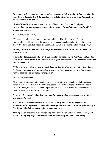*An administrative committee can help a Post correct its deficiencies, but if there is no buy-in from the members it will only be a matter of time before the Post is once again falling short of its organizational obligations.* 

*Ideally this notification would be incorporated into a cover letter that is uplifting, encouraging, and spurs engagement from Post members by reminding them of the VFW's mission and purpose.* 

Section 211(3)(e) requires,

"Following an initial suspension period as provided in this subsection, the Department Commander may lift or extend the suspension for an additional period of time not to exceed ninety (90) days; and shall notify the Commander-in-Chief in writing within two (2) days."

*Although there is no requirement to notify the Post members, it would be in the Post's best interest to do so.* 

*If extending the suspension, be sure to congratulate the members on their hard work, update them on the Post's progress, and inform them of goals the committee will need their continued support to achieve.* 

*If lifting the suspension, be sure to thank them for their hard work, but remind them that a Post cannot be successful without active involvement from its members – the Post's future success depends on their active participation!*

Section  $211(4)(a)$  states,

"The administrative committee shall approve the expenditure or obligations of all funds and transfers of all property while the order of suspension is in effect. If provided in the Special Order, all funds, securities and other property of the Post may be placed under the custody and supervision of the Administrative Committee."

*As previously stated, the administrative committee operates in a supervisory role to educate and mentor the Post.*

*However, in cases where the reason for suspension is financial mismanagement or malfeasance the Department Commander may expand the committee's authority by placing all Post finances in their custody to mitigate additional loss.* 

*This expansion of powers must be explicitly and clearly stated within the special order, and does not in any way negate the Department Commander's final approval authority.*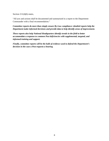Section 211(4)(b) states,

"All acts and actions shall be documented and summarized in a report to the Department Commander with a final recommendation."

*Committee reports do more than simply ensure By-Law compliance: detailed reports help the Department make informed decisions and provide data to help identify areas of improvement.* 

*These reports also help National Headquarters identify trends in the field to better accommodate a response to common Post deficiencies with supplemental, targeted, and informed training and support.* 

*Finally, committee reports will be the bulk of evidence used to defend the Department's decision in the case a Post requests a hearing.*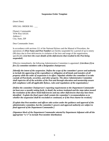#### **Suspension Order Template**

(Insert Date)

SPECIAL ORDER NO. \_\_\_

[Name], Commander VFW Post XXXX Address 1 City, State, ZIP

Dear Commander Jones:

In accordance with sections 211 of the National Bylaws and the Manual of Procedure, the operations of (*Post Name and Post Number*) are hereby suspended for a period of up to ninety (90) days due to Post deficiencies in violation of the laws and usage of the organization, specifically (*List here the exact details of the deficiencies that resulted in the Post being suspended*).

Effective immediately, the following Administrative Committee is appointed: (*List three (3) to five (5) committee members with a designation chairperson*)

*[Identify the intent of the suspension. Define the scope of the committee's power and authority to include the approving of the expenditure or obligation of all funds and transfers of all property while the order of suspension is in effect. Stipulate whether the committee is to take custody of Post funds, securities, and other property. The above Administrative Committee shall supervise all of the activities of the Post and through education and mentorship ensure full compliance with all applicable Bylaws, rules and regulations of the organization.]* 

*[Define the committee Chairperson's reporting requirements to the Department Commander (at least once a month) setting forth, in detail, the actions instituted and the steps taken toward the resolution of the above listed deficiencies and any other deficiencies that may have been identified. Explain the final report shall contain the committee's recommendation as to whether the suspension shall be rescinded or continued, or if the Post charter be revoked.]*

*[Explain that Post members and officers take action under the guidance and approval of the administrative committee, but the committee's powers and approval authority are subject to final approval of the Department Commander.]*

*(Signature block of the Department Commander attested by Department Adjutant with all the appropriate "cc's" to include Post member distribution)*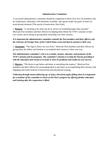#### **Administrative Committee**

A successful administrative committee should be comprised of three (3) to five (5) members who are enthusiastic, dedicated, well-informed, available, and operate under the guise of three (3) motivational elements [The puzzle of motivation, Dan Pink]:

1. **Purpose**: "A yearning to do what you do in service of something larger than yourself." Motivate Post members and their officers by helping them define the VFW's mission in their own words, and in doing so giving them ownership over their mission.

# *It is important the administrative committee reminds the Post members and their officers why the Veterans of Foreign Wars of the United States exists and that its mission is their own.*

2. **Autonomy**: "The urge to direct our own lives." Motivate Post members and their officers by giving them the ability and freedom to accomplish their mission in their own way.

# *The administrative committee's role is as a leader, mentor, educator, and promoter of the VFW's mission and its programs. The committee's mission is to help the Post by providing it with the education and resources it needs to solve its problems and realize its own success.*

3. **Mastery**: "The desire to get better and better at something that matters." Motivate Post members and their officers by encouraging them to get better at accomplishing their mission with engaging and useful Schools of Instruction and educational training.

*Following through means following up: to keep a Post from again falling short it is important for a member of the committee to check on the Post's progress by offering further education and training after the suspension is lifted.*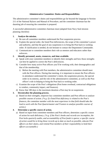### **Administrative Committee: Duties and Responsibilities**

The administrative committee's duties and responsibilities go far beyond the language in Section 211 of the National Bylaws and Manual of Procedure, and the committee chairman has the daunting job of ensuring the committee is prepared.

A successful administrative committee chairman must (adapted from Navy Seal mission planning checklist)

#### **1. Analyze the mission.**

- a) Be sure all committee members understand the Post suspension process.
- b) Explain the special order, the listed Post deficiencies, the scope of the committee's power and authority, and that the goal of any suspension is to bring the Post back to working order. If clarification is needed, do not hesitate to contact the Department Commander.
- c) Communicate to committee members their role as mentors and educators rather than enforcers.

#### **2. Identify personnel, assets, resources, and time available.**

- a) Speak with your committee members to identify their strengths and how those strengths can best be applied to correct the Post's deficiencies.
- b) Consider how many active Post officers you'll be working with, their demographics and that of the membership.
	- i) Before the meeting with Post members, the administrative committee should meet with the Post officers. During that meeting, it is important to ensure the Post officers in attendance understand the committee's intent, the suspension process, the special order in its entirety, and the role of the administrative committee, as well as the Post officer's role in helping to bring the Post back to working order.
- c) Examine the scope of the Post's obligations (Post home overhead, contractual obligations to vendors, community impact, and finances).
- d) Know that 180 days is the maximum duration a Post may be on suspension.

# **3. Decentralize the planning process.**

a) Based on their strengths, empower key committee members and Post officers to analyze possible courses of action. *(\*e.g. if a listed Post deficiency is related to the Post's finances, the committee member with the most experience in that field should take the lead to work with the Post Quartermaster and Trustees to analyze possible courses of action.)*

#### **4. Determine a specific course of action.**

a) Based on input from committee members and Post officers, determine a specific course of action for each deficiency. *(\*e.g. if the Post's books and records are incomplete, the Post lacks quarterly audits, and accountability of Post funds is sparse; a specific course of action would be to bring those records up to date as much as possible, educate Post officers on their duties, and remind Post members of their responsibility to hold their officers accountable.)*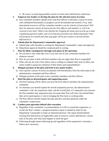i) Be aware, in analyzing possible courses of action more deficiencies could arise.

# **5. Empower key leaders to develop the plan for the selected course of action.**

a) Key committee members should work with Post officers to develop a course of action with calendared benchmarks so progress can be documented and tracked. *(\*e.g. what educational resources will key committee members use for schools of instruction? Will there be separate schools of instruction for Post officers and members or will it be covered in one class? What is the timeline for bringing the books and records up to date, completing quarterly audits, and correcting the procedures for disbursing funds? How will progress be tracked and what stop gaps will be put in place to prevent further deficiencies?)*

# **6. Submit plan for Department Commander approval.**

- a) Submit plan with formality in writing for Department Commander's input and approval.
- b) Department approval should be communicated in writing.

# **7. Plan for likely contingencies through each phase of the operation.**

- a) Do you know who could take over if you lose one of your committee members for whatever reason?
- b) How do you plan to deal with Post members who are angry their Post is suspended?
- c) What will you do with a Post officer who is willing to complete their term of office, but seems unable to grasp key elements of their duties and responsibilities?

# **8. Delegate portions of the plan and brief to key junior leaders.**

- a) Once specific courses of action are planned with benchmarks, brief the entire plan to the administrative committee and Post officers.
- b) Delegate portions of the plan to key committee members and Post officers.

# **9. Brief the plan to all participants and supporting assets.**

- a) The Post meeting will be where you have the Post officers introduce the administrative committee.
- b) As chairman you should explain the overall suspension process, the administrative committee's role, the suspension order, and the overall plan. It's imperative you reassure the Post members that suspension does not mean their Post will close, but remind them their active participation is vital in bringing the Post back to working order.
- c) The Post officers should explain the plan specifics and take questions under the committee's supervision.

# **10. Conduct post-operation debrief after execution.**

- a) Regardless if the committee's recommendation is to lift or extend the suspension, or revoke the Post's charter; a progress/summary report is needed in order for the Department Commander to make an informed decision. The report should identify existing Post deficiencies (if applicable), plan of action to correct deficiencies, current state of the plan, and what must happen to reach the goal
- b) Following through means following up and regardless of the suspension's outcome a follow-up is necessary.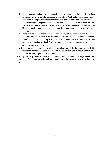- i) If recommendation is to lift the suspension, it is important to follow-up with the Post to assess their progress after the suspension is lifted. Analyze lessons learned with Post officers and provide subsequent schools of instruction to reinforce lessons learned during the suspension and keep the members engaged. Gather feedback from Post officers and members to provide better information to Department and National Headquarters in order to improve the suspension process and create better training material.
- ii) If the recommendation is to extend the suspension, follow-up with committee members and Post officers to assess their progress and adjust benchmarks if needed. Then, conduct a Post meeting as soon as possible to keep the Post members informed and engaged. Gather feedback from Post members about the process and make adjustments where necessary.
- iii) If the recommendation is to revoke the Post charter, identify shortcomings that led to that recommendation. Gather feedback from Post officers and members to analyze lessons learned implement in the future.
- c) Every follow-up should start and end by thanking all of those involved regardless of the outcome. This organization is made up of dedicated volunteers and their work should be recognized.